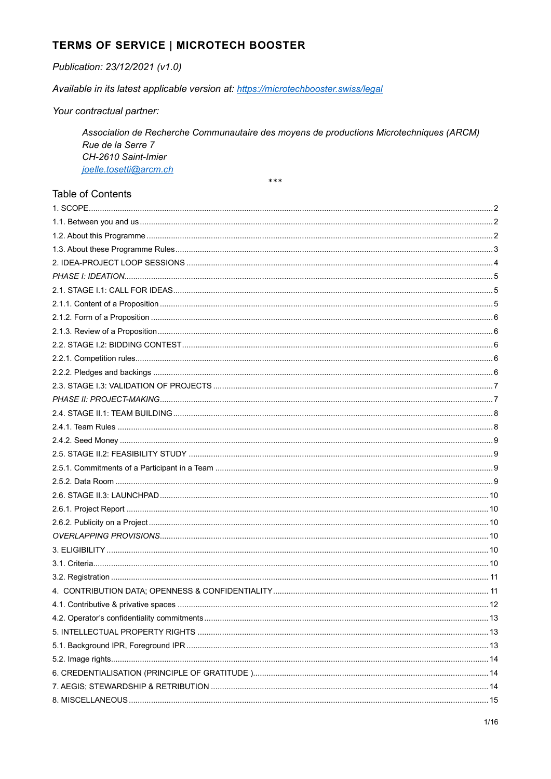# TERMS OF SERVICE | MICROTECH BOOSTER

#### Publication: 23/12/2021 (v1.0)

Available in its latest applicable version at: https://microtechbooster.swiss/legal

Your contractual partner:

Association de Recherche Communautaire des moyens de productions Microtechniques (ARCM) Rue de la Serre 7 CH-2610 Saint-Imier joelle.tosetti@arcm.ch \*\*\*

#### **Table of Contents**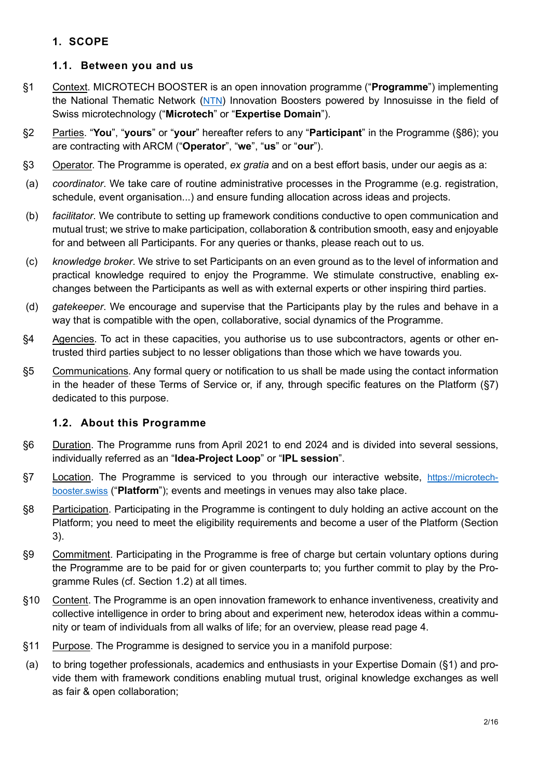# 1. SCOPE

## 1.1. Between you and us

- §1 Context. MICROTECH BOOSTER is an open innovation programme ("Programme") implementing the National Thematic Network (NTN) Innovation Boosters powered by Innosuisse in the field of Swiss microtechnology ("Microtech" or "Expertise Domain").
- §2 Parties. "You", "yours" or "your" hereafter refers to any "Participant" in the Programme (§86); you are contracting with ARCM ("Operator", "we", "us" or "our").
- §3 Operator. The Programme is operated, ex gratia and on a best effort basis, under our aegis as a:
- (a) coordinator. We take care of routine administrative processes in the Programme (e.g. registration, schedule, event organisation...) and ensure funding allocation across ideas and projects.
- (b) facilitator. We contribute to setting up framework conditions conductive to open communication and mutual trust; we strive to make participation, collaboration & contribution smooth, easy and enjoyable for and between all Participants. For any queries or thanks, please reach out to us.
- (c) knowledge broker. We strive to set Participants on an even ground as to the level of information and practical knowledge required to enjoy the Programme. We stimulate constructive, enabling exchanges between the Participants as well as with external experts or other inspiring third parties.
- (d) gatekeeper. We encourage and supervise that the Participants play by the rules and behave in a way that is compatible with the open, collaborative, social dynamics of the Programme.
- §4 Agencies. To act in these capacities, you authorise us to use subcontractors, agents or other entrusted third parties subject to no lesser obligations than those which we have towards you.
- §5 Communications. Any formal query or notification to us shall be made using the contact information in the header of these Terms of Service or, if any, through specific features on the Platform (§7) dedicated to this purpose.

# 1.2. About this Programme

- §6 Duration. The Programme runs from April 2021 to end 2024 and is divided into several sessions, individually referred as an "Idea-Project Loop" or "IPL session".
- §7 Location. The Programme is serviced to you through our interactive website, https://microtechbooster.swiss ("Platform"); events and meetings in venues may also take place.
- §8 Participation. Participating in the Programme is contingent to duly holding an active account on the Platform; you need to meet the eligibility requirements and become a user of the Platform (Section 3).
- §9 Commitment. Participating in the Programme is free of charge but certain voluntary options during the Programme are to be paid for or given counterparts to; you further commit to play by the Programme Rules (cf. Section 1.2) at all times.
- §10 Content. The Programme is an open innovation framework to enhance inventiveness, creativity and collective intelligence in order to bring about and experiment new, heterodox ideas within a community or team of individuals from all walks of life; for an overview, please read page 4.
- §11 Purpose. The Programme is designed to service you in a manifold purpose:
- (a) to bring together professionals, academics and enthusiasts in your Expertise Domain (§1) and provide them with framework conditions enabling mutual trust, original knowledge exchanges as well as fair & open collaboration;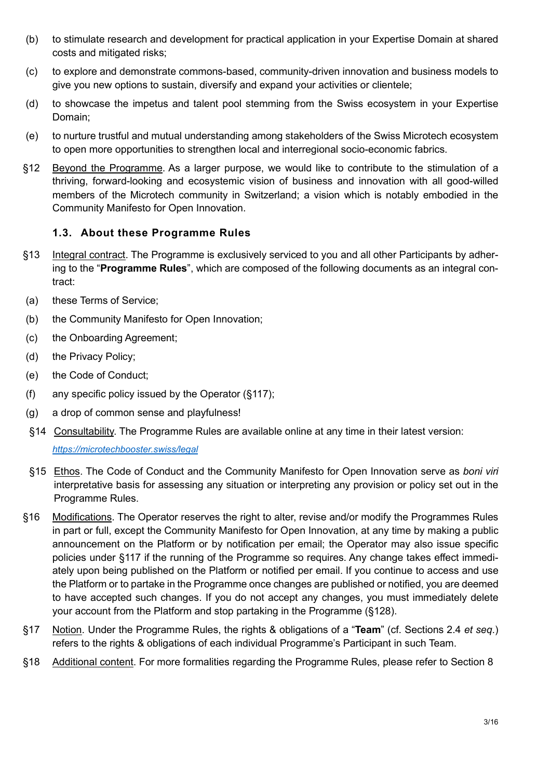- (b) to stimulate research and development for practical application in your Expertise Domain at shared costs and mitigated risks;
- (c) to explore and demonstrate commons-based, community-driven innovation and business models to give you new options to sustain, diversify and expand your activities or clientele;
- (d) to showcase the impetus and talent pool stemming from the Swiss ecosystem in your Expertise Domain;
- (e) to nurture trustful and mutual understanding among stakeholders of the Swiss Microtech ecosystem to open more opportunities to strengthen local and interregional socio-economic fabrics.
- §12 Beyond the Programme. As a larger purpose, we would like to contribute to the stimulation of a thriving, forward-looking and ecosystemic vision of business and innovation with all good-willed members of the Microtech community in Switzerland; a vision which is notably embodied in the Community Manifesto for Open Innovation.

## 1.3. About these Programme Rules

- §13 Integral contract. The Programme is exclusively serviced to you and all other Participants by adhering to the "Programme Rules", which are composed of the following documents as an integral contract:
- (a) these Terms of Service;
- (b) the Community Manifesto for Open Innovation;
- (c) the Onboarding Agreement;
- (d) the Privacy Policy;
- (e) the Code of Conduct;
- (f) any specific policy issued by the Operator (§117);
- (g) a drop of common sense and playfulness!
- §14 Consultability. The Programme Rules are available online at any time in their latest version: https://microtechbooster.swiss/legal
- §15 Ethos. The Code of Conduct and the Community Manifesto for Open Innovation serve as boni viri interpretative basis for assessing any situation or interpreting any provision or policy set out in the Programme Rules.
- §16 Modifications. The Operator reserves the right to alter, revise and/or modify the Programmes Rules in part or full, except the Community Manifesto for Open Innovation, at any time by making a public announcement on the Platform or by notification per email; the Operator may also issue specific policies under §117 if the running of the Programme so requires. Any change takes effect immediately upon being published on the Platform or notified per email. If you continue to access and use the Platform or to partake in the Programme once changes are published or notified, you are deemed to have accepted such changes. If you do not accept any changes, you must immediately delete your account from the Platform and stop partaking in the Programme (§128).
- §17 Notion. Under the Programme Rules, the rights & obligations of a "Team" (cf. Sections 2.4 et seq.) refers to the rights & obligations of each individual Programme's Participant in such Team.
- §18 Additional content. For more formalities regarding the Programme Rules, please refer to Section 8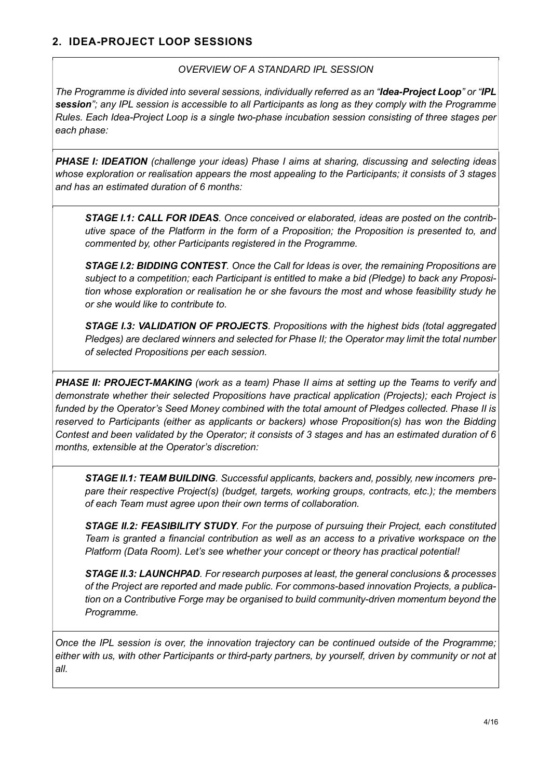#### OVERVIEW OF A STANDARD IPL SESSION

The Programme is divided into several sessions, individually referred as an "Idea-Project Loop" or "IPL session"; any IPL session is accessible to all Participants as long as they comply with the Programme Rules. Each Idea-Project Loop is a single two-phase incubation session consisting of three stages per each phase:

PHASE I: IDEATION (challenge your ideas) Phase I aims at sharing, discussing and selecting ideas whose exploration or realisation appears the most appealing to the Participants; it consists of 3 stages and has an estimated duration of 6 months:

STAGE I.1: CALL FOR IDEAS. Once conceived or elaborated, ideas are posted on the contributive space of the Platform in the form of a Proposition; the Proposition is presented to, and commented by, other Participants registered in the Programme.

STAGE I.2: BIDDING CONTEST. Once the Call for Ideas is over, the remaining Propositions are subject to a competition; each Participant is entitled to make a bid (Pledge) to back any Proposition whose exploration or realisation he or she favours the most and whose feasibility study he or she would like to contribute to.

STAGE I.3: VALIDATION OF PROJECTS. Propositions with the highest bids (total aggregated Pledges) are declared winners and selected for Phase II; the Operator may limit the total number of selected Propositions per each session.

PHASE II: PROJECT-MAKING (work as a team) Phase II aims at setting up the Teams to verify and demonstrate whether their selected Propositions have practical application (Projects); each Project is funded by the Operator's Seed Money combined with the total amount of Pledges collected. Phase II is reserved to Participants (either as applicants or backers) whose Proposition(s) has won the Bidding Contest and been validated by the Operator; it consists of 3 stages and has an estimated duration of 6 months, extensible at the Operator's discretion:

STAGE II.1: TEAM BUILDING. Successful applicants, backers and, possibly, new incomers prepare their respective Project(s) (budget, targets, working groups, contracts, etc.); the members of each Team must agree upon their own terms of collaboration.

STAGE II.2: FEASIBILITY STUDY. For the purpose of pursuing their Project, each constituted Team is granted a financial contribution as well as an access to a privative workspace on the Platform (Data Room). Let's see whether your concept or theory has practical potential!

STAGE II.3: LAUNCHPAD. For research purposes at least, the general conclusions & processes of the Project are reported and made public. For commons-based innovation Projects, a publication on a Contributive Forge may be organised to build community-driven momentum beyond the Programme.

Once the IPL session is over, the innovation trajectory can be continued outside of the Programme; either with us, with other Participants or third-party partners, by yourself, driven by community or not at all.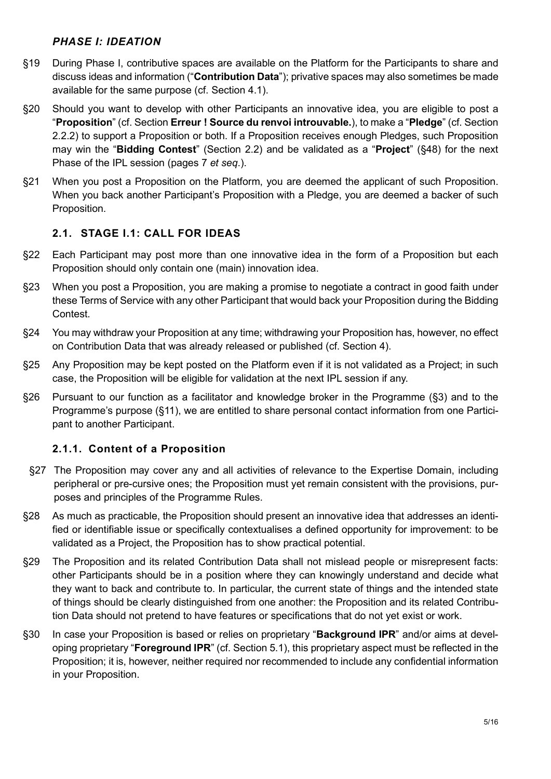#### PHASE I: IDEATION

- §19 During Phase I, contributive spaces are available on the Platform for the Participants to share and discuss ideas and information ("**Contribution Data**"); privative spaces may also sometimes be made available for the same purpose (cf. Section 4.1).
- §20 Should you want to develop with other Participants an innovative idea, you are eligible to post a "Proposition" (cf. Section Erreur ! Source du renvoi introuvable.), to make a "Pledge" (cf. Section 2.2.2) to support a Proposition or both. If a Proposition receives enough Pledges, such Proposition may win the "Bidding Contest" (Section 2.2) and be validated as a "Project" (§48) for the next Phase of the IPL session (pages 7 et seq.).
- §21 When you post a Proposition on the Platform, you are deemed the applicant of such Proposition. When you back another Participant's Proposition with a Pledge, you are deemed a backer of such Proposition.

## 2.1. STAGE I.1: CALL FOR IDEAS

- §22 Each Participant may post more than one innovative idea in the form of a Proposition but each Proposition should only contain one (main) innovation idea.
- §23 When you post a Proposition, you are making a promise to negotiate a contract in good faith under these Terms of Service with any other Participant that would back your Proposition during the Bidding Contest.
- §24 You may withdraw your Proposition at any time; withdrawing your Proposition has, however, no effect on Contribution Data that was already released or published (cf. Section 4).
- §25 Any Proposition may be kept posted on the Platform even if it is not validated as a Project; in such case, the Proposition will be eligible for validation at the next IPL session if any.
- §26 Pursuant to our function as a facilitator and knowledge broker in the Programme (§3) and to the Programme's purpose (§11), we are entitled to share personal contact information from one Participant to another Participant.

# 2.1.1. Content of a Proposition

- §27 The Proposition may cover any and all activities of relevance to the Expertise Domain, including peripheral or pre-cursive ones; the Proposition must yet remain consistent with the provisions, purposes and principles of the Programme Rules.
- §28 As much as practicable, the Proposition should present an innovative idea that addresses an identified or identifiable issue or specifically contextualises a defined opportunity for improvement: to be validated as a Project, the Proposition has to show practical potential.
- §29 The Proposition and its related Contribution Data shall not mislead people or misrepresent facts: other Participants should be in a position where they can knowingly understand and decide what they want to back and contribute to. In particular, the current state of things and the intended state of things should be clearly distinguished from one another: the Proposition and its related Contribution Data should not pretend to have features or specifications that do not yet exist or work.
- §30 In case your Proposition is based or relies on proprietary "**Background IPR**" and/or aims at developing proprietary "Foreground IPR" (cf. Section 5.1), this proprietary aspect must be reflected in the Proposition; it is, however, neither required nor recommended to include any confidential information in your Proposition.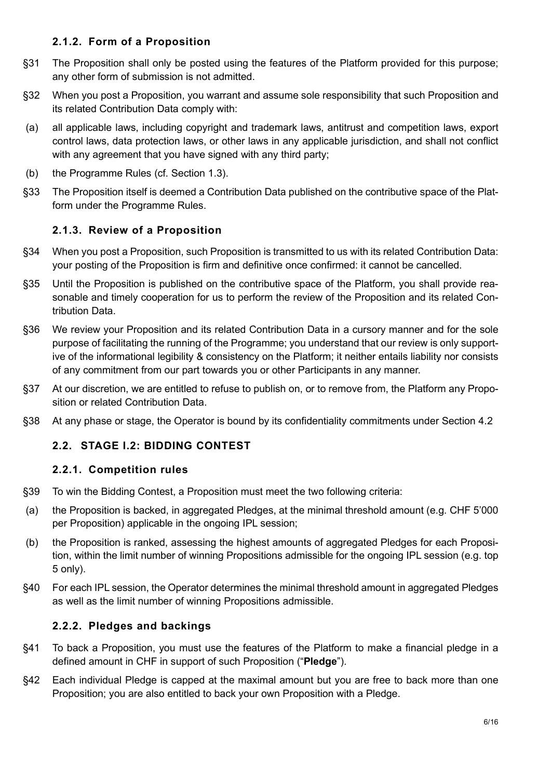### 2.1.2. Form of a Proposition

- §31 The Proposition shall only be posted using the features of the Platform provided for this purpose; any other form of submission is not admitted.
- §32 When you post a Proposition, you warrant and assume sole responsibility that such Proposition and its related Contribution Data comply with:
- (a) all applicable laws, including copyright and trademark laws, antitrust and competition laws, export control laws, data protection laws, or other laws in any applicable jurisdiction, and shall not conflict with any agreement that you have signed with any third party;
- (b) the Programme Rules (cf. Section 1.3).
- §33 The Proposition itself is deemed a Contribution Data published on the contributive space of the Platform under the Programme Rules.

## 2.1.3. Review of a Proposition

- §34 When you post a Proposition, such Proposition is transmitted to us with its related Contribution Data: your posting of the Proposition is firm and definitive once confirmed: it cannot be cancelled.
- §35 Until the Proposition is published on the contributive space of the Platform, you shall provide reasonable and timely cooperation for us to perform the review of the Proposition and its related Contribution Data.
- §36 We review your Proposition and its related Contribution Data in a cursory manner and for the sole purpose of facilitating the running of the Programme; you understand that our review is only supportive of the informational legibility & consistency on the Platform; it neither entails liability nor consists of any commitment from our part towards you or other Participants in any manner.
- §37 At our discretion, we are entitled to refuse to publish on, or to remove from, the Platform any Proposition or related Contribution Data.
- §38 At any phase or stage, the Operator is bound by its confidentiality commitments under Section 4.2

# 2.2. STAGE I.2: BIDDING CONTEST

### 2.2.1. Competition rules

- §39 To win the Bidding Contest, a Proposition must meet the two following criteria:
- (a) the Proposition is backed, in aggregated Pledges, at the minimal threshold amount (e.g. CHF 5'000 per Proposition) applicable in the ongoing IPL session;
- (b) the Proposition is ranked, assessing the highest amounts of aggregated Pledges for each Proposition, within the limit number of winning Propositions admissible for the ongoing IPL session (e.g. top 5 only).
- §40 For each IPL session, the Operator determines the minimal threshold amount in aggregated Pledges as well as the limit number of winning Propositions admissible.

### 2.2.2. Pledges and backings

- §41 To back a Proposition, you must use the features of the Platform to make a financial pledge in a defined amount in CHF in support of such Proposition ("Pledge").
- §42 Each individual Pledge is capped at the maximal amount but you are free to back more than one Proposition; you are also entitled to back your own Proposition with a Pledge.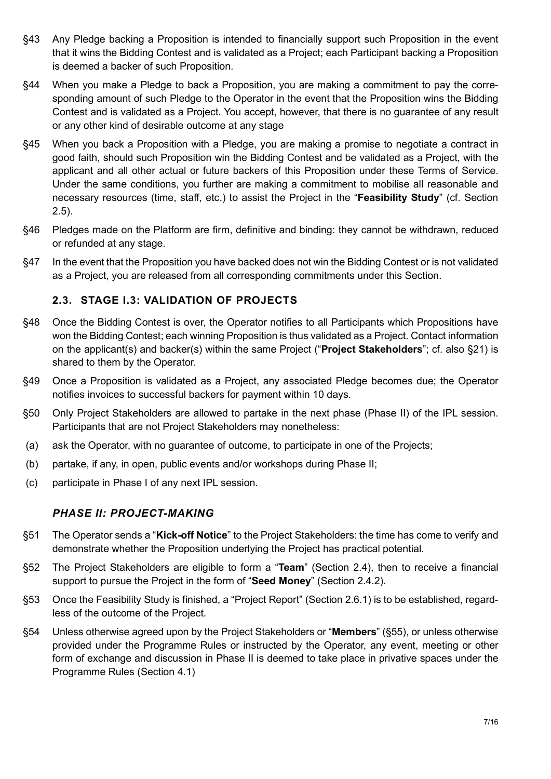- §43 Any Pledge backing a Proposition is intended to financially support such Proposition in the event that it wins the Bidding Contest and is validated as a Project; each Participant backing a Proposition is deemed a backer of such Proposition.
- §44 When you make a Pledge to back a Proposition, you are making a commitment to pay the corresponding amount of such Pledge to the Operator in the event that the Proposition wins the Bidding Contest and is validated as a Project. You accept, however, that there is no guarantee of any result or any other kind of desirable outcome at any stage
- §45 When you back a Proposition with a Pledge, you are making a promise to negotiate a contract in good faith, should such Proposition win the Bidding Contest and be validated as a Project, with the applicant and all other actual or future backers of this Proposition under these Terms of Service. Under the same conditions, you further are making a commitment to mobilise all reasonable and necessary resources (time, staff, etc.) to assist the Project in the "Feasibility Study" (cf. Section 2.5).
- §46 Pledges made on the Platform are firm, definitive and binding: they cannot be withdrawn, reduced or refunded at any stage.
- §47 In the event that the Proposition you have backed does not win the Bidding Contest or is not validated as a Project, you are released from all corresponding commitments under this Section.

# 2.3. STAGE I.3: VALIDATION OF PROJECTS

- §48 Once the Bidding Contest is over, the Operator notifies to all Participants which Propositions have won the Bidding Contest; each winning Proposition is thus validated as a Project. Contact information on the applicant(s) and backer(s) within the same Project ("Project Stakeholders"; cf. also §21) is shared to them by the Operator.
- §49 Once a Proposition is validated as a Project, any associated Pledge becomes due; the Operator notifies invoices to successful backers for payment within 10 days.
- §50 Only Project Stakeholders are allowed to partake in the next phase (Phase II) of the IPL session. Participants that are not Project Stakeholders may nonetheless:
- (a) ask the Operator, with no guarantee of outcome, to participate in one of the Projects;
- (b) partake, if any, in open, public events and/or workshops during Phase II;
- (c) participate in Phase I of any next IPL session.

### PHASE II: PROJECT-MAKING

- §51 The Operator sends a "Kick-off Notice" to the Project Stakeholders: the time has come to verify and demonstrate whether the Proposition underlying the Project has practical potential.
- §52 The Project Stakeholders are eligible to form a "Team" (Section 2.4), then to receive a financial support to pursue the Project in the form of "Seed Money" (Section 2.4.2).
- §53 Once the Feasibility Study is finished, a "Project Report" (Section 2.6.1) is to be established, regardless of the outcome of the Project.
- §54 Unless otherwise agreed upon by the Project Stakeholders or "Members" (§55), or unless otherwise provided under the Programme Rules or instructed by the Operator, any event, meeting or other form of exchange and discussion in Phase II is deemed to take place in privative spaces under the Programme Rules (Section 4.1)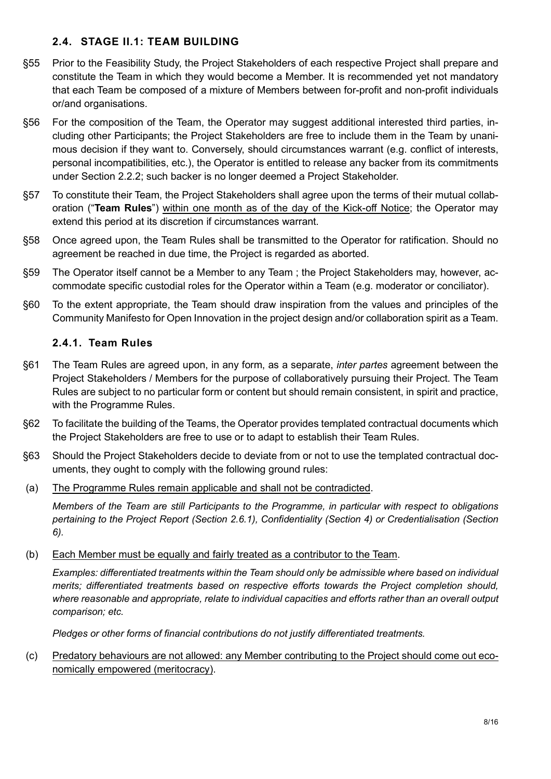### 2.4. STAGE II.1: TEAM BUILDING

- §55 Prior to the Feasibility Study, the Project Stakeholders of each respective Project shall prepare and constitute the Team in which they would become a Member. It is recommended yet not mandatory that each Team be composed of a mixture of Members between for-profit and non-profit individuals or/and organisations.
- §56 For the composition of the Team, the Operator may suggest additional interested third parties, including other Participants; the Project Stakeholders are free to include them in the Team by unanimous decision if they want to. Conversely, should circumstances warrant (e.g. conflict of interests, personal incompatibilities, etc.), the Operator is entitled to release any backer from its commitments under Section 2.2.2; such backer is no longer deemed a Project Stakeholder.
- §57 To constitute their Team, the Project Stakeholders shall agree upon the terms of their mutual collaboration ("Team Rules") within one month as of the day of the Kick-off Notice; the Operator may extend this period at its discretion if circumstances warrant.
- §58 Once agreed upon, the Team Rules shall be transmitted to the Operator for ratification. Should no agreement be reached in due time, the Project is regarded as aborted.
- §59 The Operator itself cannot be a Member to any Team ; the Project Stakeholders may, however, accommodate specific custodial roles for the Operator within a Team (e.g. moderator or conciliator).
- §60 To the extent appropriate, the Team should draw inspiration from the values and principles of the Community Manifesto for Open Innovation in the project design and/or collaboration spirit as a Team.

## 2.4.1. Team Rules

- §61 The Team Rules are agreed upon, in any form, as a separate, *inter partes* agreement between the Project Stakeholders / Members for the purpose of collaboratively pursuing their Project. The Team Rules are subject to no particular form or content but should remain consistent, in spirit and practice, with the Programme Rules.
- §62 To facilitate the building of the Teams, the Operator provides templated contractual documents which the Project Stakeholders are free to use or to adapt to establish their Team Rules.
- §63 Should the Project Stakeholders decide to deviate from or not to use the templated contractual documents, they ought to comply with the following ground rules:
- (a) The Programme Rules remain applicable and shall not be contradicted.

Members of the Team are still Participants to the Programme, in particular with respect to obligations pertaining to the Project Report (Section 2.6.1), Confidentiality (Section 4) or Credentialisation (Section 6).

(b) Each Member must be equally and fairly treated as a contributor to the Team.

Examples: differentiated treatments within the Team should only be admissible where based on individual merits; differentiated treatments based on respective efforts towards the Project completion should, where reasonable and appropriate, relate to individual capacities and efforts rather than an overall output comparison; etc.

Pledges or other forms of financial contributions do not justify differentiated treatments.

### (c) Predatory behaviours are not allowed: any Member contributing to the Project should come out economically empowered (meritocracy).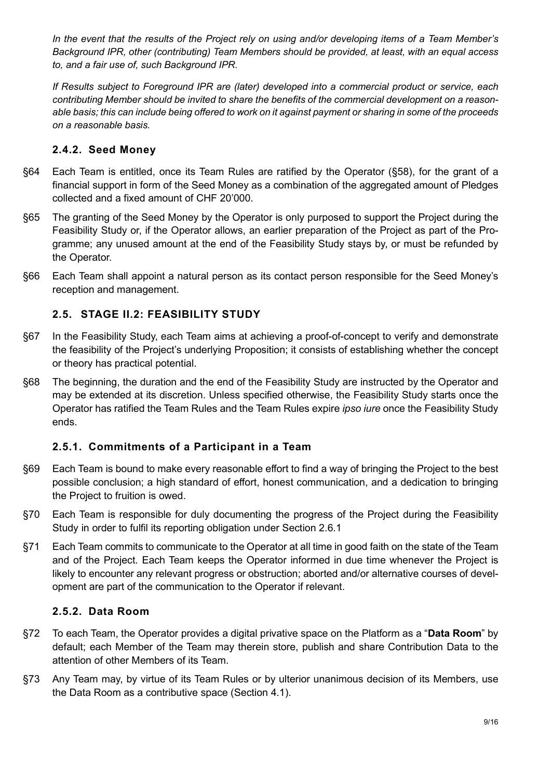In the event that the results of the Project rely on using and/or developing items of a Team Member's Background IPR, other (contributing) Team Members should be provided, at least, with an equal access to, and a fair use of, such Background IPR.

If Results subject to Foreground IPR are (later) developed into a commercial product or service, each contributing Member should be invited to share the benefits of the commercial development on a reasonable basis; this can include being offered to work on it against payment or sharing in some of the proceeds on a reasonable basis.

### 2.4.2. Seed Money

- §64 Each Team is entitled, once its Team Rules are ratified by the Operator (§58), for the grant of a financial support in form of the Seed Money as a combination of the aggregated amount of Pledges collected and a fixed amount of CHF 20'000.
- §65 The granting of the Seed Money by the Operator is only purposed to support the Project during the Feasibility Study or, if the Operator allows, an earlier preparation of the Project as part of the Programme; any unused amount at the end of the Feasibility Study stays by, or must be refunded by the Operator.
- §66 Each Team shall appoint a natural person as its contact person responsible for the Seed Money's reception and management.

# 2.5. STAGE II.2: FEASIBILITY STUDY

- §67 In the Feasibility Study, each Team aims at achieving a proof-of-concept to verify and demonstrate the feasibility of the Project's underlying Proposition; it consists of establishing whether the concept or theory has practical potential.
- §68 The beginning, the duration and the end of the Feasibility Study are instructed by the Operator and may be extended at its discretion. Unless specified otherwise, the Feasibility Study starts once the Operator has ratified the Team Rules and the Team Rules expire ipso iure once the Feasibility Study ends.

# 2.5.1. Commitments of a Participant in a Team

- §69 Each Team is bound to make every reasonable effort to find a way of bringing the Project to the best possible conclusion; a high standard of effort, honest communication, and a dedication to bringing the Project to fruition is owed.
- §70 Each Team is responsible for duly documenting the progress of the Project during the Feasibility Study in order to fulfil its reporting obligation under Section 2.6.1
- §71 Each Team commits to communicate to the Operator at all time in good faith on the state of the Team and of the Project. Each Team keeps the Operator informed in due time whenever the Project is likely to encounter any relevant progress or obstruction; aborted and/or alternative courses of development are part of the communication to the Operator if relevant.

### 2.5.2. Data Room

- §72 To each Team, the Operator provides a digital privative space on the Platform as a "Data Room" by default; each Member of the Team may therein store, publish and share Contribution Data to the attention of other Members of its Team.
- §73 Any Team may, by virtue of its Team Rules or by ulterior unanimous decision of its Members, use the Data Room as a contributive space (Section 4.1).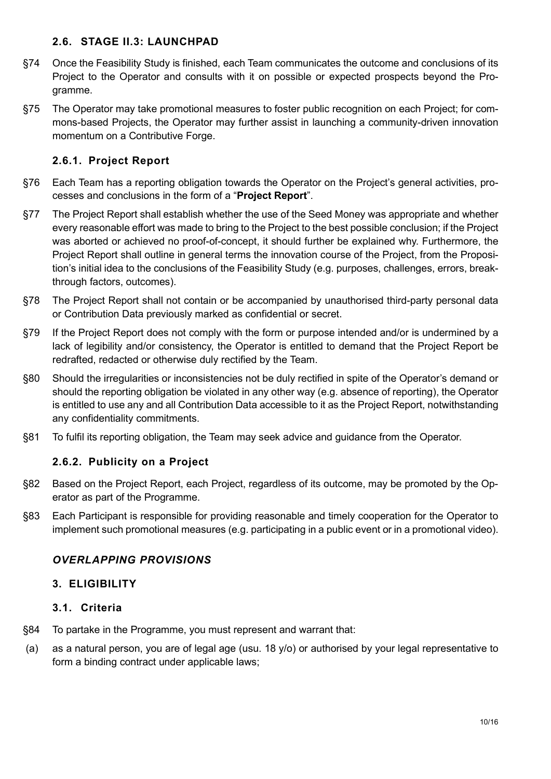### 2.6. STAGE II.3: LAUNCHPAD

- §74 Once the Feasibility Study is finished, each Team communicates the outcome and conclusions of its Project to the Operator and consults with it on possible or expected prospects beyond the Programme.
- §75 The Operator may take promotional measures to foster public recognition on each Project; for commons-based Projects, the Operator may further assist in launching a community-driven innovation momentum on a Contributive Forge.

## 2.6.1. Project Report

- §76 Each Team has a reporting obligation towards the Operator on the Project's general activities, processes and conclusions in the form of a "Project Report".
- §77 The Project Report shall establish whether the use of the Seed Money was appropriate and whether every reasonable effort was made to bring to the Project to the best possible conclusion; if the Project was aborted or achieved no proof-of-concept, it should further be explained why. Furthermore, the Project Report shall outline in general terms the innovation course of the Project, from the Proposition's initial idea to the conclusions of the Feasibility Study (e.g. purposes, challenges, errors, breakthrough factors, outcomes).
- §78 The Project Report shall not contain or be accompanied by unauthorised third-party personal data or Contribution Data previously marked as confidential or secret.
- §79 If the Project Report does not comply with the form or purpose intended and/or is undermined by a lack of legibility and/or consistency, the Operator is entitled to demand that the Project Report be redrafted, redacted or otherwise duly rectified by the Team.
- §80 Should the irregularities or inconsistencies not be duly rectified in spite of the Operator's demand or should the reporting obligation be violated in any other way (e.g. absence of reporting), the Operator is entitled to use any and all Contribution Data accessible to it as the Project Report, notwithstanding any confidentiality commitments.
- §81 To fulfil its reporting obligation, the Team may seek advice and guidance from the Operator.

# 2.6.2. Publicity on a Project

- §82 Based on the Project Report, each Project, regardless of its outcome, may be promoted by the Operator as part of the Programme.
- §83 Each Participant is responsible for providing reasonable and timely cooperation for the Operator to implement such promotional measures (e.g. participating in a public event or in a promotional video).

### OVERLAPPING PROVISIONS

### 3. ELIGIBILITY

### 3.1. Criteria

- §84 To partake in the Programme, you must represent and warrant that:
- (a) as a natural person, you are of legal age (usu. 18 y/o) or authorised by your legal representative to form a binding contract under applicable laws;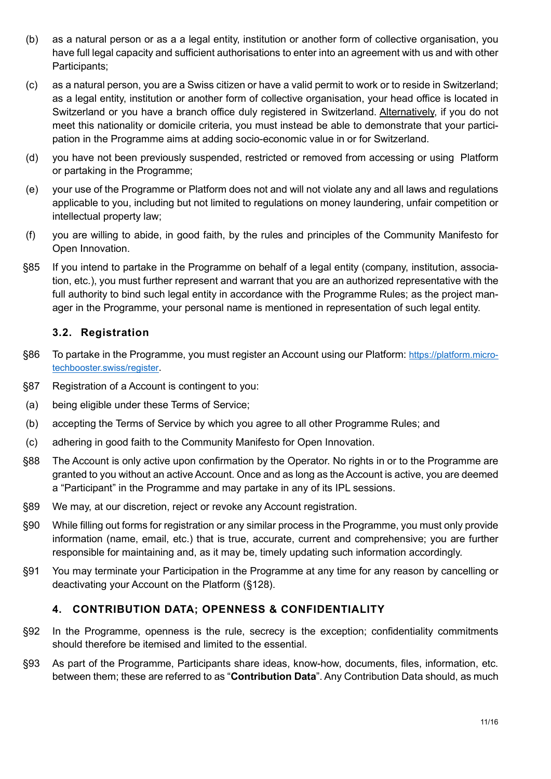- (b) as a natural person or as a a legal entity, institution or another form of collective organisation, you have full legal capacity and sufficient authorisations to enter into an agreement with us and with other Participants;
- (c) as a natural person, you are a Swiss citizen or have a valid permit to work or to reside in Switzerland; as a legal entity, institution or another form of collective organisation, your head office is located in Switzerland or you have a branch office duly registered in Switzerland. Alternatively, if you do not meet this nationality or domicile criteria, you must instead be able to demonstrate that your participation in the Programme aims at adding socio-economic value in or for Switzerland.
- (d) you have not been previously suspended, restricted or removed from accessing or using Platform or partaking in the Programme;
- (e) your use of the Programme or Platform does not and will not violate any and all laws and regulations applicable to you, including but not limited to regulations on money laundering, unfair competition or intellectual property law;
- (f) you are willing to abide, in good faith, by the rules and principles of the Community Manifesto for Open Innovation.
- §85 If you intend to partake in the Programme on behalf of a legal entity (company, institution, association, etc.), you must further represent and warrant that you are an authorized representative with the full authority to bind such legal entity in accordance with the Programme Rules; as the project manager in the Programme, your personal name is mentioned in representation of such legal entity.

## 3.2. Registration

- §86 To partake in the Programme, you must register an Account using our Platform: https://platform.microtechbooster.swiss/register.
- §87 Registration of a Account is contingent to you:
- (a) being eligible under these Terms of Service;
- (b) accepting the Terms of Service by which you agree to all other Programme Rules; and
- (c) adhering in good faith to the Community Manifesto for Open Innovation.
- §88 The Account is only active upon confirmation by the Operator. No rights in or to the Programme are granted to you without an active Account. Once and as long as the Account is active, you are deemed a "Participant" in the Programme and may partake in any of its IPL sessions.
- §89 We may, at our discretion, reject or revoke any Account registration.
- §90 While filling out forms for registration or any similar process in the Programme, you must only provide information (name, email, etc.) that is true, accurate, current and comprehensive; you are further responsible for maintaining and, as it may be, timely updating such information accordingly.
- §91 You may terminate your Participation in the Programme at any time for any reason by cancelling or deactivating your Account on the Platform (§128).

### 4. CONTRIBUTION DATA; OPENNESS & CONFIDENTIALITY

- §92 In the Programme, openness is the rule, secrecy is the exception; confidentiality commitments should therefore be itemised and limited to the essential.
- §93 As part of the Programme, Participants share ideas, know-how, documents, files, information, etc. between them; these are referred to as "**Contribution Data**". Any Contribution Data should, as much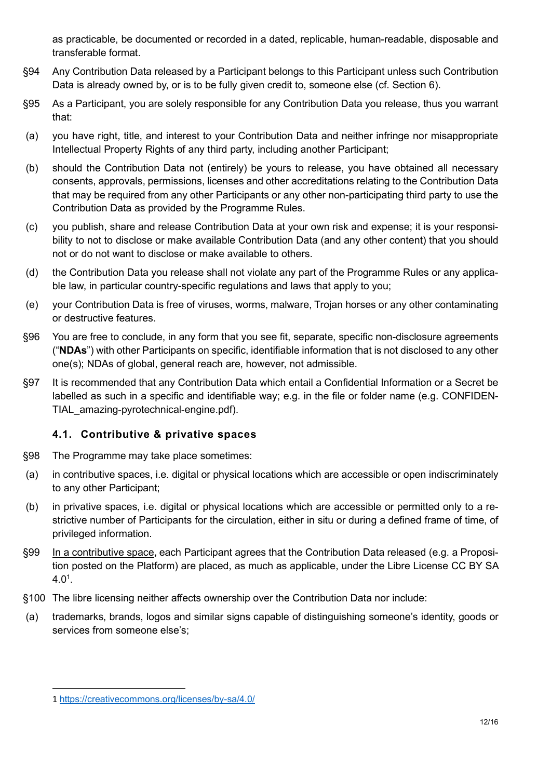as practicable, be documented or recorded in a dated, replicable, human-readable, disposable and transferable format.

- §94 Any Contribution Data released by a Participant belongs to this Participant unless such Contribution Data is already owned by, or is to be fully given credit to, someone else (cf. Section 6).
- §95 As a Participant, you are solely responsible for any Contribution Data you release, thus you warrant that:
- (a) you have right, title, and interest to your Contribution Data and neither infringe nor misappropriate Intellectual Property Rights of any third party, including another Participant;
- (b) should the Contribution Data not (entirely) be yours to release, you have obtained all necessary consents, approvals, permissions, licenses and other accreditations relating to the Contribution Data that may be required from any other Participants or any other non-participating third party to use the Contribution Data as provided by the Programme Rules.
- (c) you publish, share and release Contribution Data at your own risk and expense; it is your responsibility to not to disclose or make available Contribution Data (and any other content) that you should not or do not want to disclose or make available to others.
- (d) the Contribution Data you release shall not violate any part of the Programme Rules or any applicable law, in particular country-specific regulations and laws that apply to you;
- (e) your Contribution Data is free of viruses, worms, malware, Trojan horses or any other contaminating or destructive features.
- §96 You are free to conclude, in any form that you see fit, separate, specific non-disclosure agreements ("NDAs") with other Participants on specific, identifiable information that is not disclosed to any other one(s); NDAs of global, general reach are, however, not admissible.
- §97 It is recommended that any Contribution Data which entail a Confidential Information or a Secret be labelled as such in a specific and identifiable way; e.g. in the file or folder name (e.g. CONFIDEN-TIAL\_amazing-pyrotechnical-engine.pdf).

# 4.1. Contributive & privative spaces

- §98 The Programme may take place sometimes:
- (a) in contributive spaces, i.e. digital or physical locations which are accessible or open indiscriminately to any other Participant;
- (b) in privative spaces, i.e. digital or physical locations which are accessible or permitted only to a restrictive number of Participants for the circulation, either in situ or during a defined frame of time, of privileged information.
- §99 In a contributive space, each Participant agrees that the Contribution Data released (e.g. a Proposition posted on the Platform) are placed, as much as applicable, under the Libre License CC BY SA  $4.0^1$ .
- §100 The libre licensing neither affects ownership over the Contribution Data nor include:
- (a) trademarks, brands, logos and similar signs capable of distinguishing someone's identity, goods or services from someone else's;

<sup>1</sup> https://creativecommons.org/licenses/by-sa/4.0/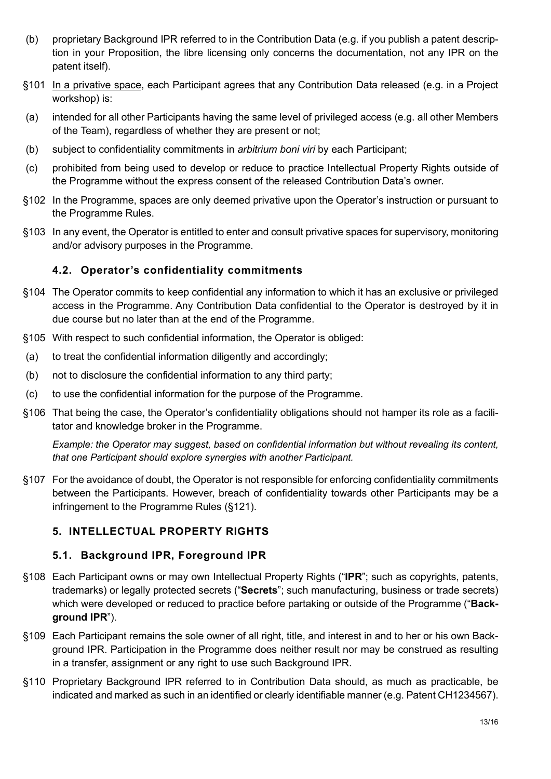- (b) proprietary Background IPR referred to in the Contribution Data (e.g. if you publish a patent description in your Proposition, the libre licensing only concerns the documentation, not any IPR on the patent itself).
- §101 In a privative space, each Participant agrees that any Contribution Data released (e.g. in a Project workshop) is:
- (a) intended for all other Participants having the same level of privileged access (e.g. all other Members of the Team), regardless of whether they are present or not;
- (b) subject to confidentiality commitments in arbitrium boni viri by each Participant;
- (c) prohibited from being used to develop or reduce to practice Intellectual Property Rights outside of the Programme without the express consent of the released Contribution Data's owner.
- §102 In the Programme, spaces are only deemed privative upon the Operator's instruction or pursuant to the Programme Rules.
- §103 In any event, the Operator is entitled to enter and consult privative spaces for supervisory, monitoring and/or advisory purposes in the Programme.

### 4.2. Operator's confidentiality commitments

- §104 The Operator commits to keep confidential any information to which it has an exclusive or privileged access in the Programme. Any Contribution Data confidential to the Operator is destroyed by it in due course but no later than at the end of the Programme.
- §105 With respect to such confidential information, the Operator is obliged:
- (a) to treat the confidential information diligently and accordingly;
- (b) not to disclosure the confidential information to any third party;
- (c) to use the confidential information for the purpose of the Programme.
- §106 That being the case, the Operator's confidentiality obligations should not hamper its role as a facilitator and knowledge broker in the Programme.

Example: the Operator may suggest, based on confidential information but without revealing its content, that one Participant should explore synergies with another Participant.

§107 For the avoidance of doubt, the Operator is not responsible for enforcing confidentiality commitments between the Participants. However, breach of confidentiality towards other Participants may be a infringement to the Programme Rules (§121).

### 5. INTELLECTUAL PROPERTY RIGHTS

#### 5.1. Background IPR, Foreground IPR

- §108 Each Participant owns or may own Intellectual Property Rights ("IPR"; such as copyrights, patents, trademarks) or legally protected secrets ("Secrets"; such manufacturing, business or trade secrets) which were developed or reduced to practice before partaking or outside of the Programme ("Background IPR").
- §109 Each Participant remains the sole owner of all right, title, and interest in and to her or his own Background IPR. Participation in the Programme does neither result nor may be construed as resulting in a transfer, assignment or any right to use such Background IPR.
- §110 Proprietary Background IPR referred to in Contribution Data should, as much as practicable, be indicated and marked as such in an identified or clearly identifiable manner (e.g. Patent CH1234567).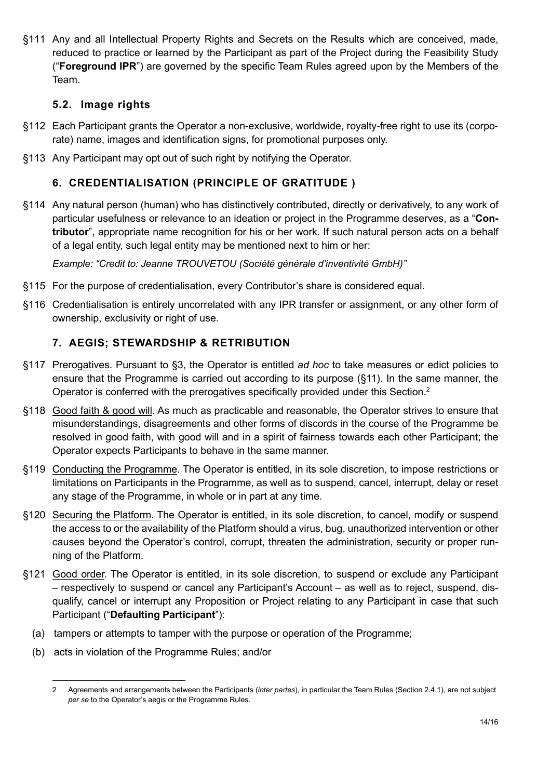§111 Any and all Intellectual Property Rights and Secrets on the Results which are conceived, made, reduced to practice or learned by the Participant as part of the Project during the Feasibility Study ("Foreground IPR") are governed by the specific Team Rules agreed upon by the Members of the Team.

## 5.2. Image rights

- §112 Each Participant grants the Operator a non-exclusive, worldwide, royalty-free right to use its (corporate) name, images and identification signs, for promotional purposes only.
- §113 Any Participant may opt out of such right by notifying the Operator.

## 6. CREDENTIALISATION (PRINCIPLE OF GRATITUDE )

§114 Any natural person (human) who has distinctively contributed, directly or derivatively, to any work of particular usefulness or relevance to an ideation or project in the Programme deserves, as a "Contributor", appropriate name recognition for his or her work. If such natural person acts on a behalf of a legal entity, such legal entity may be mentioned next to him or her:

Example: "Credit to: Jeanne TROUVETOU (Société générale d'inventivité GmbH)"

- §115 For the purpose of credentialisation, every Contributor's share is considered equal.
- §116 Credentialisation is entirely uncorrelated with any IPR transfer or assignment, or any other form of ownership, exclusivity or right of use.

# 7. AEGIS; STEWARDSHIP & RETRIBUTION

- §117 Prerogatives. Pursuant to §3, the Operator is entitled ad hoc to take measures or edict policies to ensure that the Programme is carried out according to its purpose (§11). In the same manner, the Operator is conferred with the prerogatives specifically provided under this Section.<sup>2</sup>
- §118 Good faith & good will. As much as practicable and reasonable, the Operator strives to ensure that misunderstandings, disagreements and other forms of discords in the course of the Programme be resolved in good faith, with good will and in a spirit of fairness towards each other Participant; the Operator expects Participants to behave in the same manner.
- §119 Conducting the Programme. The Operator is entitled, in its sole discretion, to impose restrictions or limitations on Participants in the Programme, as well as to suspend, cancel, interrupt, delay or reset any stage of the Programme, in whole or in part at any time.
- §120 Securing the Platform. The Operator is entitled, in its sole discretion, to cancel, modify or suspend the access to or the availability of the Platform should a virus, bug, unauthorized intervention or other causes beyond the Operator's control, corrupt, threaten the administration, security or proper running of the Platform.
- §121 Good order. The Operator is entitled, in its sole discretion, to suspend or exclude any Participant – respectively to suspend or cancel any Participant's Account – as well as to reject, suspend, disqualify, cancel or interrupt any Proposition or Project relating to any Participant in case that such Participant ("Defaulting Participant"):
	- (a) tampers or attempts to tamper with the purpose or operation of the Programme;
	- (b) acts in violation of the Programme Rules; and/or

<sup>2</sup> Agreements and arrangements between the Participants (inter partes), in particular the Team Rules (Section 2.4.1), are not subject per se to the Operator's aegis or the Programme Rules.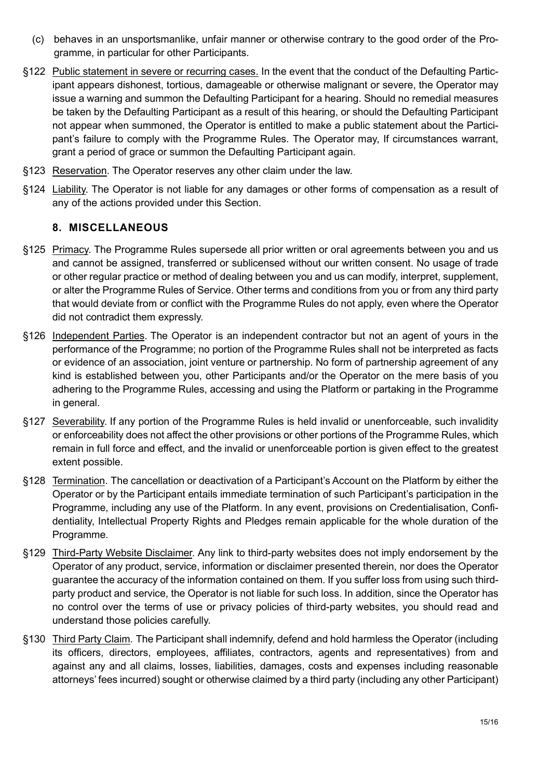- (c) behaves in an unsportsmanlike, unfair manner or otherwise contrary to the good order of the Programme, in particular for other Participants.
- §122 Public statement in severe or recurring cases. In the event that the conduct of the Defaulting Participant appears dishonest, tortious, damageable or otherwise malignant or severe, the Operator may issue a warning and summon the Defaulting Participant for a hearing. Should no remedial measures be taken by the Defaulting Participant as a result of this hearing, or should the Defaulting Participant not appear when summoned, the Operator is entitled to make a public statement about the Participant's failure to comply with the Programme Rules. The Operator may, If circumstances warrant, grant a period of grace or summon the Defaulting Participant again.
- §123 Reservation. The Operator reserves any other claim under the law.
- §124 Liability. The Operator is not liable for any damages or other forms of compensation as a result of any of the actions provided under this Section.

### 8. MISCELLANEOUS

- §125 Primacy. The Programme Rules supersede all prior written or oral agreements between you and us and cannot be assigned, transferred or sublicensed without our written consent. No usage of trade or other regular practice or method of dealing between you and us can modify, interpret, supplement, or alter the Programme Rules of Service. Other terms and conditions from you or from any third party that would deviate from or conflict with the Programme Rules do not apply, even where the Operator did not contradict them expressly.
- §126 Independent Parties. The Operator is an independent contractor but not an agent of yours in the performance of the Programme; no portion of the Programme Rules shall not be interpreted as facts or evidence of an association, joint venture or partnership. No form of partnership agreement of any kind is established between you, other Participants and/or the Operator on the mere basis of you adhering to the Programme Rules, accessing and using the Platform or partaking in the Programme in general.
- §127 Severability. If any portion of the Programme Rules is held invalid or unenforceable, such invalidity or enforceability does not affect the other provisions or other portions of the Programme Rules, which remain in full force and effect, and the invalid or unenforceable portion is given effect to the greatest extent possible.
- §128 Termination. The cancellation or deactivation of a Participant's Account on the Platform by either the Operator or by the Participant entails immediate termination of such Participant's participation in the Programme, including any use of the Platform. In any event, provisions on Credentialisation, Confidentiality, Intellectual Property Rights and Pledges remain applicable for the whole duration of the Programme.
- §129 Third-Party Website Disclaimer. Any link to third-party websites does not imply endorsement by the Operator of any product, service, information or disclaimer presented therein, nor does the Operator guarantee the accuracy of the information contained on them. If you suffer loss from using such thirdparty product and service, the Operator is not liable for such loss. In addition, since the Operator has no control over the terms of use or privacy policies of third-party websites, you should read and understand those policies carefully.
- §130 Third Party Claim. The Participant shall indemnify, defend and hold harmless the Operator (including its officers, directors, employees, affiliates, contractors, agents and representatives) from and against any and all claims, losses, liabilities, damages, costs and expenses including reasonable attorneys' fees incurred) sought or otherwise claimed by a third party (including any other Participant)